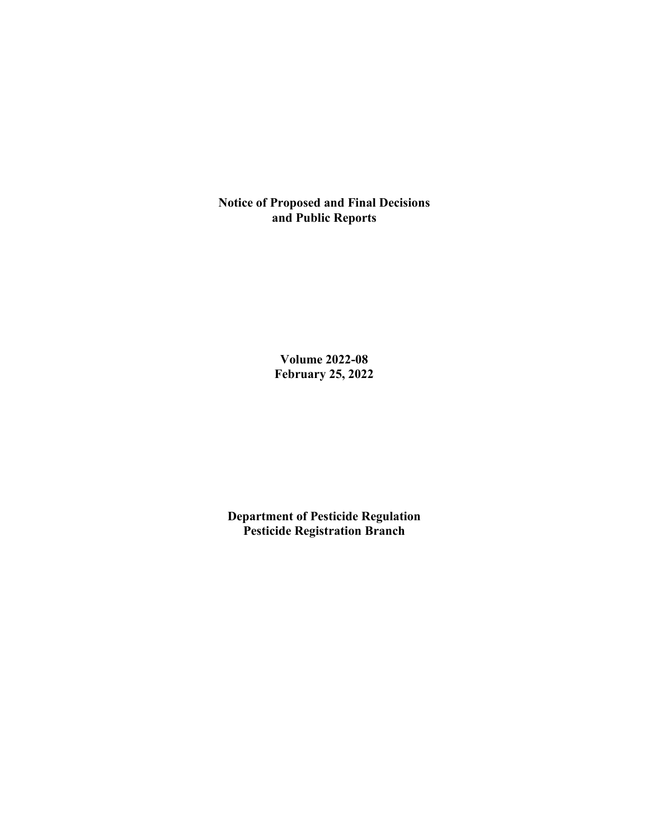**Notice of Proposed and Final Decisions and Public Reports**

> **Volume 2022-08 February 25, 2022**

**Department of Pesticide Regulation Pesticide Registration Branch**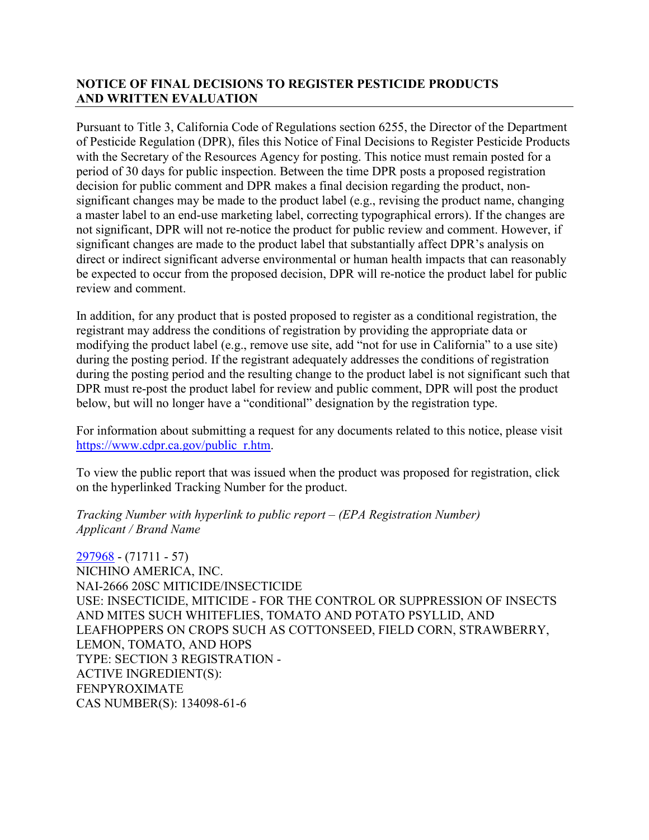## **NOTICE OF FINAL DECISIONS TO REGISTER PESTICIDE PRODUCTS AND WRITTEN EVALUATION**

Pursuant to Title 3, California Code of Regulations section 6255, the Director of the Department of Pesticide Regulation (DPR), files this Notice of Final Decisions to Register Pesticide Products with the Secretary of the Resources Agency for posting. This notice must remain posted for a period of 30 days for public inspection. Between the time DPR posts a proposed registration decision for public comment and DPR makes a final decision regarding the product, nonsignificant changes may be made to the product label (e.g., revising the product name, changing a master label to an end-use marketing label, correcting typographical errors). If the changes are not significant, DPR will not re-notice the product for public review and comment. However, if significant changes are made to the product label that substantially affect DPR's analysis on direct or indirect significant adverse environmental or human health impacts that can reasonably be expected to occur from the proposed decision, DPR will re-notice the product label for public review and comment.

In addition, for any product that is posted proposed to register as a conditional registration, the registrant may address the conditions of registration by providing the appropriate data or modifying the product label (e.g., remove use site, add "not for use in California" to a use site) during the posting period. If the registrant adequately addresses the conditions of registration during the posting period and the resulting change to the product label is not significant such that DPR must re-post the product label for review and public comment, DPR will post the product below, but will no longer have a "conditional" designation by the registration type.

For information about submitting a request for any documents related to this notice, please visit [https://www.cdpr.ca.gov/public\\_r.htm.](https://www.cdpr.ca.gov/public_r.htm)

To view the public report that was issued when the product was proposed for registration, click on the hyperlinked Tracking Number for the product.

#### *Tracking Number with hyperlink to public report – (EPA Registration Number) Applicant / Brand Name*

[297968](https://www.cdpr.ca.gov/docs/registration/nod/public_reports/297968.pdf) - (71711 - 57) NICHINO AMERICA, INC. NAI-2666 20SC MITICIDE/INSECTICIDE USE: INSECTICIDE, MITICIDE - FOR THE CONTROL OR SUPPRESSION OF INSECTS AND MITES SUCH WHITEFLIES, TOMATO AND POTATO PSYLLID, AND LEAFHOPPERS ON CROPS SUCH AS COTTONSEED, FIELD CORN, STRAWBERRY, LEMON, TOMATO, AND HOPS TYPE: SECTION 3 REGISTRATION - ACTIVE INGREDIENT(S): FENPYROXIMATE CAS NUMBER(S): 134098-61-6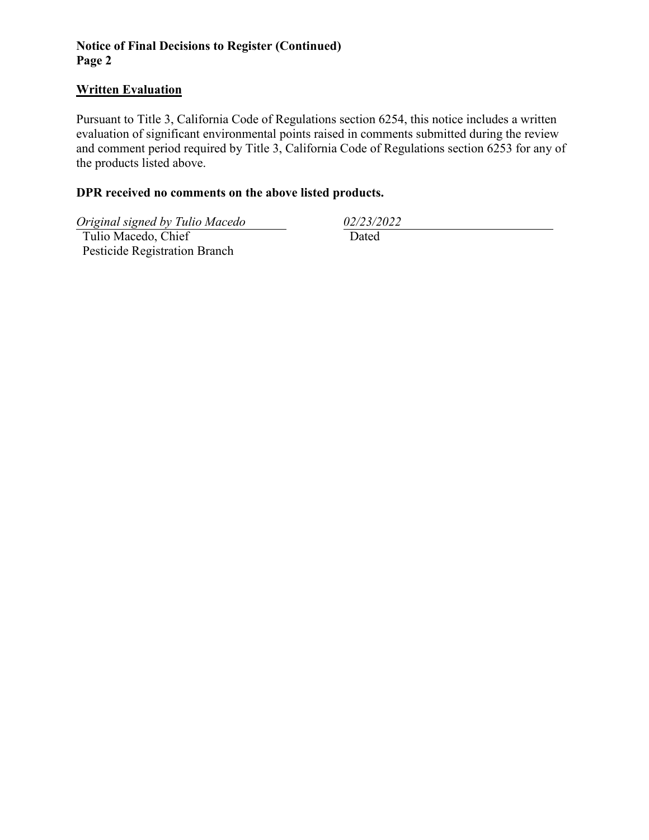## **Notice of Final Decisions to Register (Continued) Page 2**

### **Written Evaluation**

Pursuant to Title 3, California Code of Regulations section 6254, this notice includes a written evaluation of significant environmental points raised in comments submitted during the review and comment period required by Title 3, California Code of Regulations section 6253 for any of the products listed above.

## **DPR received no comments on the above listed products.**

*Original signed by Tulio Macedo 02/23/2022*

 Tulio Macedo, Chief Pesticide Registration Branch

Dated